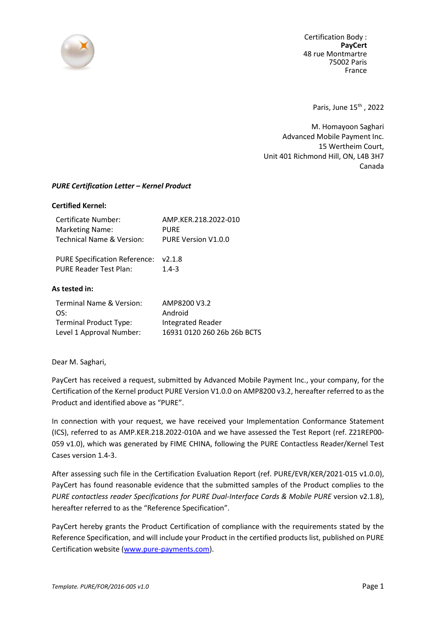

Certification Body : **PayCert** 48 rue Montmartre 75002 Paris France

Paris, June 15<sup>th</sup>, 2022

M. Homayoon Saghari Advanced Mobile Payment Inc. 15 Wertheim Court, Unit 401 Richmond Hill, ON, L4B 3H7 Canada

## *PURE Certification Letter – Kernel Product*

## **Certified Kernel:**

| Certificate Number:                  | AMP.KER.218.2022-010        |
|--------------------------------------|-----------------------------|
| <b>Marketing Name:</b>               | <b>PURE</b>                 |
| Technical Name & Version:            | PURE Version V1.0.0         |
| <b>PURE Specification Reference:</b> | V2.1.8                      |
| <b>PURE Reader Test Plan:</b>        | $1.4 - 3$                   |
| As tested in:                        |                             |
| Terminal Name & Version:             | AMP8200 V3.2                |
| OS:                                  | Android                     |
| <b>Terminal Product Type:</b>        | <b>Integrated Reader</b>    |
| Level 1 Approval Number:             | 16931 0120 260 26b 26b BCTS |

Dear M. Saghari,

PayCert has received a request, submitted by Advanced Mobile Payment Inc., your company, for the Certification of the Kernel product PURE Version V1.0.0 on AMP8200 v3.2, hereafter referred to as the Product and identified above as "PURE".

In connection with your request, we have received your Implementation Conformance Statement (ICS), referred to as AMP.KER.218.2022-010A and we have assessed the Test Report (ref. Z21REP00- 059 v1.0), which was generated by FIME CHINA, following the PURE Contactless Reader/Kernel Test Cases version 1.4-3.

After assessing such file in the Certification Evaluation Report (ref. PURE/EVR/KER/2021-015 v1.0.0), PayCert has found reasonable evidence that the submitted samples of the Product complies to the *PURE contactless reader Specifications for PURE Dual-Interface Cards & Mobile PURE* version v2.1.8), hereafter referred to as the "Reference Specification".

PayCert hereby grants the Product Certification of compliance with the requirements stated by the Reference Specification, and will include your Product in the certified products list, published on PURE Certification website [\(www.pure-payments.com\)](http://www.pure-payments.com/).